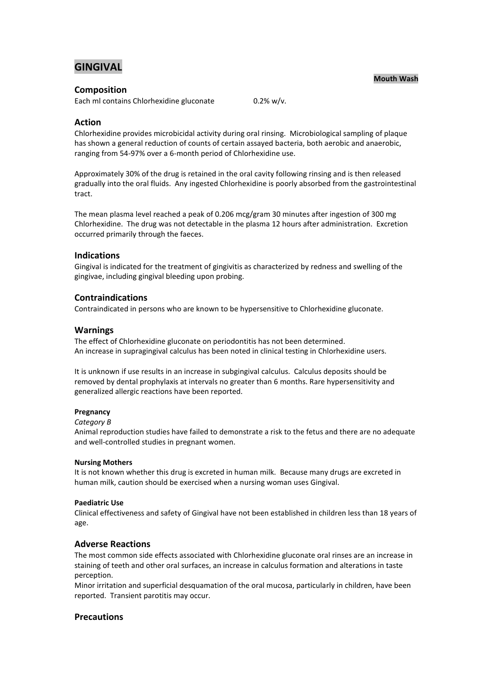# **GINGIVAL**

## **Composition**

Each ml contains Chlorhexidine gluconate 0.2% w/v.

## **Action**

Chlorhexidine provides microbicidal activity during oral rinsing. Microbiological sampling of plaque has shown a general reduction of counts of certain assayed bacteria, both aerobic and anaerobic, ranging from 54-97% over a 6-month period of Chlorhexidine use.

Approximately 30% of the drug is retained in the oral cavity following rinsing and is then released gradually into the oral fluids. Any ingested Chlorhexidine is poorly absorbed from the gastrointestinal tract.

The mean plasma level reached a peak of 0.206 mcg/gram 30 minutes after ingestion of 300 mg Chlorhexidine. The drug was not detectable in the plasma 12 hours after administration. Excretion occurred primarily through the faeces.

## **Indications**

Gingival is indicated for the treatment of gingivitis as characterized by redness and swelling of the gingivae, including gingival bleeding upon probing.

## **Contraindications**

Contraindicated in persons who are known to be hypersensitive to Chlorhexidine gluconate.

## **Warnings**

The effect of Chlorhexidine gluconate on periodontitis has not been determined. An increase in supragingival calculus has been noted in clinical testing in Chlorhexidine users.

It is unknown if use results in an increase in subgingival calculus. Calculus deposits should be removed by dental prophylaxis at intervals no greater than 6 months. Rare hypersensitivity and generalized allergic reactions have been reported.

### **Pregnancy**

### *Category B*

Animal reproduction studies have failed to demonstrate a risk to the fetus and there are no adequate and well-controlled studies in pregnant women.

### **Nursing Mothers**

It is not known whether this drug is excreted in human milk. Because many drugs are excreted in human milk, caution should be exercised when a nursing woman uses Gingival.

### **Paediatric Use**

Clinical effectiveness and safety of Gingival have not been established in children less than 18 years of age.

## **Adverse Reactions**

The most common side effects associated with Chlorhexidine gluconate oral rinses are an increase in staining of teeth and other oral surfaces, an increase in calculus formation and alterations in taste perception.

Minor irritation and superficial desquamation of the oral mucosa, particularly in children, have been reported. Transient parotitis may occur.

## **Precautions**

### **Mouth Wash**